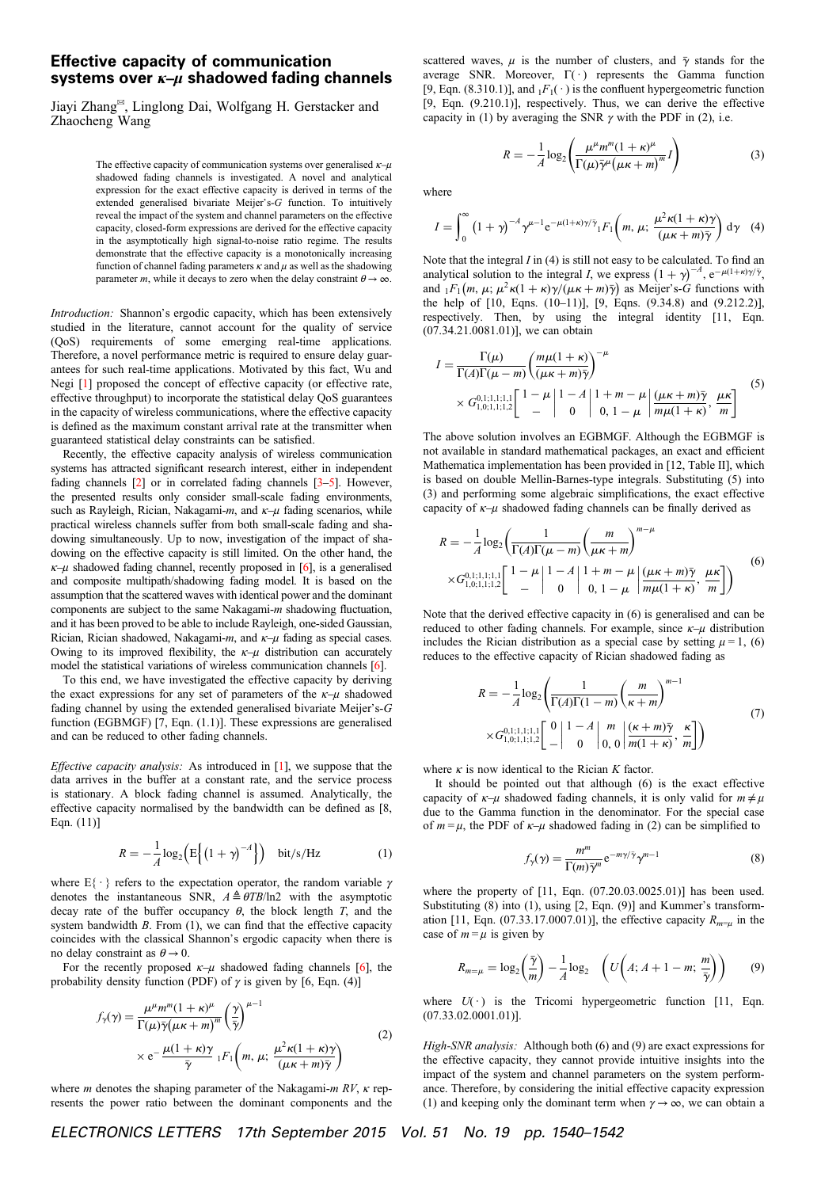## Effective capacity of communication systems over  $\kappa-\mu$  shadowed fading channels

Jiayi Zhang✉, Linglong Dai, Wolfgang H. Gerstacker and Zhaocheng Wang

> The effective capacity of communication systems over generalised  $\kappa-\mu$ shadowed fading channels is investigated. A novel and analytical expression for the exact effective capacity is derived in terms of the extended generalised bivariate Meijer's-G function. To intuitively reveal the impact of the system and channel parameters on the effective capacity, closed-form expressions are derived for the effective capacity in the asymptotically high signal-to-noise ratio regime. The results demonstrate that the effective capacity is a monotonically increasing function of channel fading parameters  $\kappa$  and  $\mu$  as well as the shadowing parameter m, while it decays to zero when the delay constraint  $\theta \rightarrow \infty$ .

Introduction: Shannon's ergodic capacity, which has been extensively studied in the literature, cannot account for the quality of service (QoS) requirements of some emerging real-time applications. Therefore, a novel performance metric is required to ensure delay guarantees for such real-time applications. Motivated by this fact, Wu and Negi [1] proposed the concept of effective capacity (or effective rate, effective throughput) to incorporate the statistical delay QoS guarantees in the capacity of wireless communications, where the effective capacity is defined as the maximum constant arrival rate at the transmitter when guaranteed statistical delay constraints can be satisfied.

Recently, the effective capacity analysis of wireless communication systems has attracted significant research interest, either in independent fading channels [2] or in correlated fading channels [3–5]. However, the presented results only consider small-scale fading environments, such as Rayleigh, Rician, Nakagami-m, and  $\kappa-\mu$  fading scenarios, while practical wireless channels suffer from both small-scale fading and shadowing simultaneously. Up to now, investigation of the impact of shadowing on the effective capacity is still limited. On the other hand, the  $\kappa$ –μ shadowed fading channel, recently proposed in [6], is a generalised and composite multipath/shadowing fading model. It is based on the assumption that the scattered waves with identical power and the dominant components are subject to the same Nakagami-m shadowing fluctuation, and it has been proved to be able to include Rayleigh, one-sided Gaussian, Rician, Rician shadowed, Nakagami-m, and  $\kappa-\mu$  fading as special cases. Owing to its improved flexibility, the  $\kappa-\mu$  distribution can accurately model the statistical variations of wireless communication channels [6].

To this end, we have investigated the effective capacity by deriving the exact expressions for any set of parameters of the  $\kappa-\mu$  shadowed fading channel by using the extended generalised bivariate Meijer's-G function (EGBMGF) [7, Eqn. (1.1)]. These expressions are generalised and can be reduced to other fading channels.

Effective capacity analysis: As introduced in [1], we suppose that the data arrives in the buffer at a constant rate, and the service process is stationary. A block fading channel is assumed. Analytically, the effective capacity normalised by the bandwidth can be defined as [8, Eqn. (11)]

$$
R = -\frac{1}{A}\log_2\left(E\left\{\left(1+\gamma\right)^{-A}\right\}\right) \quad \text{bit/s/Hz} \tag{1}
$$

where  $E\{\cdot\}$  refers to the expectation operator, the random variable  $\gamma$ denotes the instantaneous SNR,  $A \triangleq \theta T B / \ln 2$  with the asymptotic decay rate of the buffer occupancy  $\theta$ , the block length T, and the system bandwidth  $B$ . From  $(1)$ , we can find that the effective capacity coincides with the classical Shannon's ergodic capacity when there is no delay constraint as  $\theta \rightarrow 0$ .

For the recently proposed  $\kappa-\mu$  shadowed fading channels [6], the probability density function (PDF) of  $\gamma$  is given by [6, Eqn. (4)]

$$
f_{\gamma}(\gamma) = \frac{\mu^{\mu} m^{m} (1 + \kappa)^{\mu}}{\Gamma(\mu) \bar{\gamma} (\mu \kappa + m)^{m}} \left(\frac{\gamma}{\bar{\gamma}}\right)^{\mu - 1}
$$
  
 
$$
\times e^{-\frac{\mu (1 + \kappa)\gamma}{\bar{\gamma}} 1 F_{1} \left(m, \mu; \frac{\mu^{2} \kappa (1 + \kappa)\gamma}{(\mu \kappa + m) \bar{\gamma}}\right)}
$$
(2)

where *m* denotes the shaping parameter of the Nakagami- $m$  RV,  $\kappa$  represents the power ratio between the dominant components and the scattered waves,  $\mu$  is the number of clusters, and  $\bar{\gamma}$  stands for the average SNR. Moreover,  $\Gamma(\cdot)$  represents the Gamma function [9, Eqn. (8.310.1)], and  $_1F_1(\cdot)$  is the confluent hypergeometric function [9, Eqn. (9.210.1)], respectively. Thus, we can derive the effective capacity in (1) by averaging the SNR  $\gamma$  with the PDF in (2), i.e.

> $R = -\frac{1}{A} \log_2 \left( \frac{\mu^{\mu} m^m (1 + \kappa)^{\mu}}{\Gamma(\mu) \bar{\gamma}^{\mu} (\mu \kappa + m)^m} \right)$  $\left(\frac{\mu^{\mu}m^m(1+\kappa)^{\mu}}{\sum_{k=1}^{\infty}m^k(1+\kappa)^m}I\right)$  (3)

where

$$
I = \int_0^\infty \left(1 + \gamma\right)^{-A} \gamma^{\mu - 1} e^{-\mu(1 + \kappa)\gamma/\bar{\gamma}} {}_1F_1\!\left(m, \mu; \frac{\mu^2 \kappa (1 + \kappa)\gamma}{(\mu \kappa + m)\bar{\gamma}}\right) d\gamma \quad (4)
$$

Note that the integral  $I$  in (4) is still not easy to be calculated. To find an analytical solution to the integral I, we express  $(1 + \gamma)^{-A}$ ,  $e^{-\mu(1 + \kappa)\gamma/\bar{\gamma}}$ , and  $_1F_1(m, \mu; \mu^2\kappa(1+\kappa)\gamma/(\mu\kappa+m)\bar{\gamma})$  as Meijer's-G functions with the help of [10, Eqns. (10–11)], [9, Eqns. (9.34.8) and (9.212.2)], respectively. Then, by using the integral identity [11, Eqn. (07.34.21.0081.01)], we can obtain

$$
I = \frac{\Gamma(\mu)}{\Gamma(A)\Gamma(\mu - m)} \left(\frac{m\mu(1 + \kappa)}{(\mu\kappa + m)\bar{\gamma}}\right)^{-\mu} \times G_{1,0;1,1;1,1}^{0,1;1,1,1} \left[\begin{array}{c} 1 - \mu \end{array} \left| \begin{array}{c} 1 - A \end{array} \right| 1 + m - \mu \left| \frac{(\mu\kappa + m)\bar{\gamma}}{m\mu(1 + \kappa)}, \frac{\mu\kappa}{m} \right| \right] \tag{5}
$$

The above solution involves an EGBMGF. Although the EGBMGF is not available in standard mathematical packages, an exact and efficient Mathematica implementation has been provided in [12, Table II], which is based on double Mellin-Barnes-type integrals. Substituting (5) into (3) and performing some algebraic simplifications, the exact effective capacity of  $\kappa-\mu$  shadowed fading channels can be finally derived as

$$
R = -\frac{1}{A} \log_2 \left( \frac{1}{\Gamma(A)\Gamma(\mu - m)} \left( \frac{m}{\mu \kappa + m} \right)^{m - \mu} \times G_{1,0;1,1;1,1}^{0,1;1,1,1} \left[ \begin{array}{c} 1 - \mu \\ - \end{array} \right| 1 - A \left| 1 + m - \mu \\ 0, 1 - \mu \left| \frac{(\mu \kappa + m)\bar{\gamma}}{m\mu(1 + \kappa)}, \frac{\mu \kappa}{m} \right| \right) \end{array} \tag{6}
$$

Note that the derived effective capacity in (6) is generalised and can be reduced to other fading channels. For example, since  $\kappa-\mu$  distribution includes the Rician distribution as a special case by setting  $\mu = 1$ , (6) reduces to the effective capacity of Rician shadowed fading as

$$
R = -\frac{1}{A}\log_2\left(\frac{1}{\Gamma(A)\Gamma(1-m)}\left(\frac{m}{\kappa+m}\right)^{m-1}\right) \times G_{1,0;1,1;1,2}^{0,1;1,1,1,1}\left[\begin{array}{c|c} 0 & 1-A & m \\ - & 0 & 0,0 \end{array}\right] \frac{(\kappa+m)\bar{\gamma}}{m(1+\kappa)},\frac{\kappa}{m}\right] \tag{7}
$$

where  $\kappa$  is now identical to the Rician K factor.

It should be pointed out that although (6) is the exact effective capacity of  $\kappa-\mu$  shadowed fading channels, it is only valid for  $m \neq \mu$ due to the Gamma function in the denominator. For the special case of  $m = \mu$ , the PDF of  $\kappa - \mu$  shadowed fading in (2) can be simplified to

$$
f_{\gamma}(\gamma) = \frac{m^m}{\Gamma(m)\bar{\gamma}^m} e^{-m\gamma/\bar{\gamma}} \gamma^{m-1}
$$
 (8)

where the property of [11, Eqn. (07.20.03.0025.01)] has been used. Substituting (8) into (1), using [2, Eqn. (9)] and Kummer's transformation [11, Eqn. (07.33.17.0007.01)], the effective capacity  $R_{m}$  in the case of  $m = \mu$  is given by

$$
R_{m=\mu} = \log_2\left(\frac{\bar{\gamma}}{m}\right) - \frac{1}{A}\log_2\quad \left(U\left(A; A+1-m; \frac{m}{\bar{\gamma}}\right)\right) \tag{9}
$$

where  $U(\cdot)$  is the Tricomi hypergeometric function [11, Eqn. (07.33.02.0001.01)].

High-SNR analysis: Although both (6) and (9) are exact expressions for the effective capacity, they cannot provide intuitive insights into the impact of the system and channel parameters on the system performance. Therefore, by considering the initial effective capacity expression (1) and keeping only the dominant term when  $\gamma \rightarrow \infty$ , we can obtain a

ELECTRONICS LETTERS 17th September 2015 Vol. 51 No. 19 pp. 1540–1542